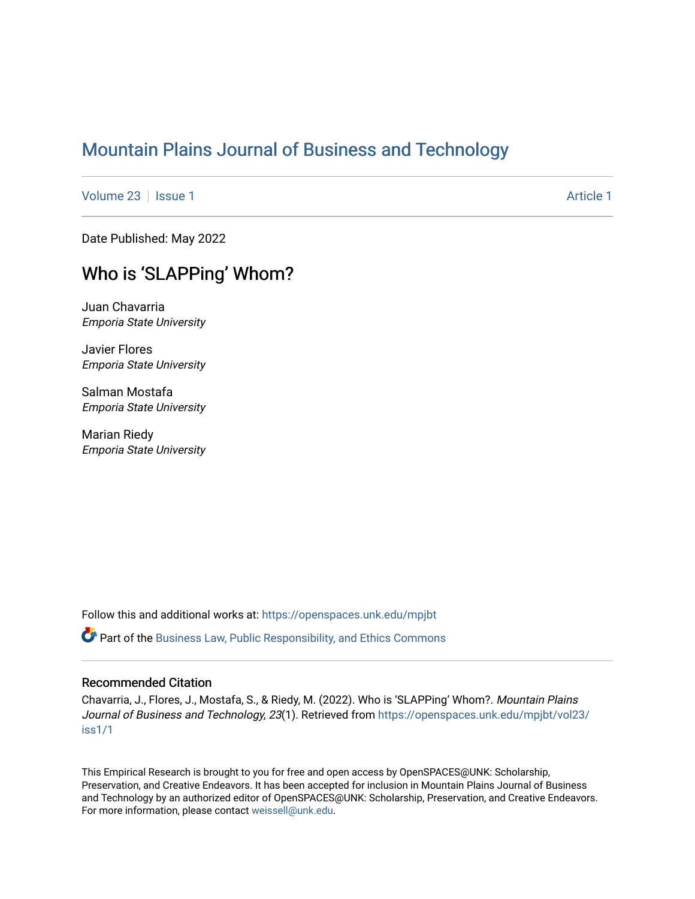# [Mountain Plains Journal of Business and Technology](https://openspaces.unk.edu/mpjbt)

[Volume 23](https://openspaces.unk.edu/mpjbt/vol23) | [Issue 1](https://openspaces.unk.edu/mpjbt/vol23/iss1) [Article 1](https://openspaces.unk.edu/mpjbt/vol23/iss1/1) Article 1 Article 1 Article 1 Article 1 Article 1 Article 1 Article 1

Date Published: May 2022

# Who is 'SLAPPing' Whom?

Juan Chavarria Emporia State University

Javier Flores Emporia State University

Salman Mostafa Emporia State University

Marian Riedy Emporia State University

Follow this and additional works at: [https://openspaces.unk.edu/mpjbt](https://openspaces.unk.edu/mpjbt?utm_source=openspaces.unk.edu%2Fmpjbt%2Fvol23%2Fiss1%2F1&utm_medium=PDF&utm_campaign=PDFCoverPages) 

Part of the [Business Law, Public Responsibility, and Ethics Commons](https://network.bepress.com/hgg/discipline/628?utm_source=openspaces.unk.edu%2Fmpjbt%2Fvol23%2Fiss1%2F1&utm_medium=PDF&utm_campaign=PDFCoverPages) 

## Recommended Citation

Chavarria, J., Flores, J., Mostafa, S., & Riedy, M. (2022). Who is 'SLAPPing' Whom?. Mountain Plains Journal of Business and Technology, 23(1). Retrieved from [https://openspaces.unk.edu/mpjbt/vol23/](https://openspaces.unk.edu/mpjbt/vol23/iss1/1?utm_source=openspaces.unk.edu%2Fmpjbt%2Fvol23%2Fiss1%2F1&utm_medium=PDF&utm_campaign=PDFCoverPages) [iss1/1](https://openspaces.unk.edu/mpjbt/vol23/iss1/1?utm_source=openspaces.unk.edu%2Fmpjbt%2Fvol23%2Fiss1%2F1&utm_medium=PDF&utm_campaign=PDFCoverPages)

This Empirical Research is brought to you for free and open access by OpenSPACES@UNK: Scholarship, Preservation, and Creative Endeavors. It has been accepted for inclusion in Mountain Plains Journal of Business and Technology by an authorized editor of OpenSPACES@UNK: Scholarship, Preservation, and Creative Endeavors. For more information, please contact [weissell@unk.edu.](mailto:weissell@unk.edu)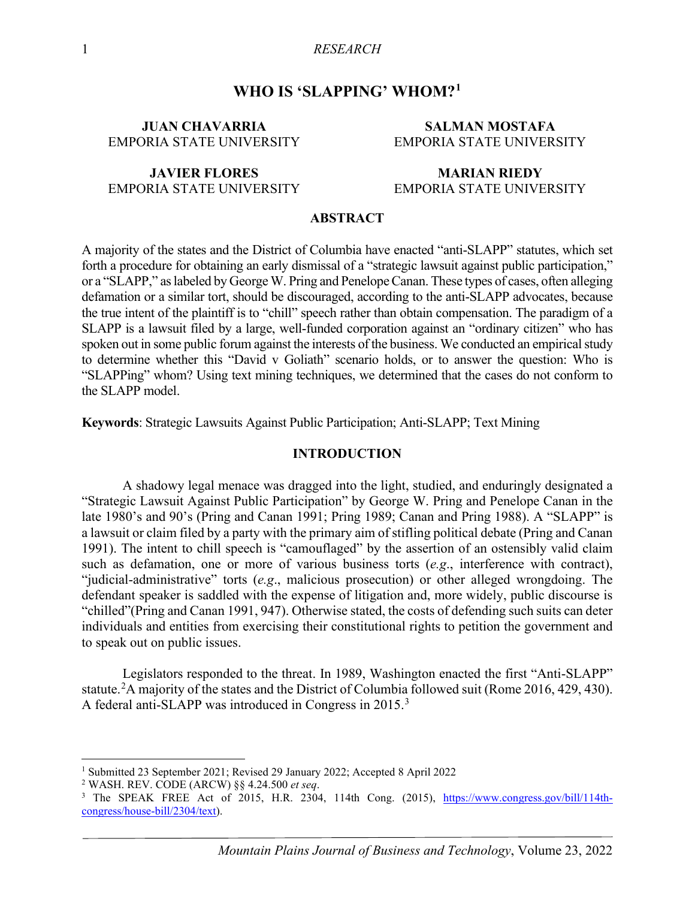# **WHO IS 'SLAPPING' WHOM?[1](#page-1-0)**

## **JUAN CHAVARRIA** EMPORIA STATE UNIVERSITY

## **JAVIER FLORES** EMPORIA STATE UNIVERSITY

## **SALMAN MOSTAFA** EMPORIA STATE UNIVERSITY

## **MARIAN RIEDY** EMPORIA STATE UNIVERSITY

#### **ABSTRACT**

A majority of the states and the District of Columbia have enacted "anti-SLAPP" statutes, which set forth a procedure for obtaining an early dismissal of a "strategic lawsuit against public participation," or a "SLAPP," as labeled by George W. Pring and Penelope Canan. These types of cases, often alleging defamation or a similar tort, should be discouraged, according to the anti-SLAPP advocates, because the true intent of the plaintiff is to "chill" speech rather than obtain compensation. The paradigm of a SLAPP is a lawsuit filed by a large, well-funded corporation against an "ordinary citizen" who has spoken out in some public forum against the interests of the business. We conducted an empirical study to determine whether this "David v Goliath" scenario holds, or to answer the question: Who is "SLAPPing" whom? Using text mining techniques, we determined that the cases do not conform to the SLAPP model.

**Keywords**: Strategic Lawsuits Against Public Participation; Anti-SLAPP; Text Mining

#### **INTRODUCTION**

A shadowy legal menace was dragged into the light, studied, and enduringly designated a "Strategic Lawsuit Against Public Participation" by George W. Pring and Penelope Canan in the late 1980's and 90's (Pring and Canan 1991; Pring 1989; Canan and Pring 1988). A "SLAPP" is a lawsuit or claim filed by a party with the primary aim of stifling political debate (Pring and Canan 1991). The intent to chill speech is "camouflaged" by the assertion of an ostensibly valid claim such as defamation, one or more of various business torts (*e.g*., interference with contract), "judicial-administrative" torts (*e.g*., malicious prosecution) or other alleged wrongdoing. The defendant speaker is saddled with the expense of litigation and, more widely, public discourse is "chilled"(Pring and Canan 1991, 947). Otherwise stated, the costs of defending such suits can deter individuals and entities from exercising their constitutional rights to petition the government and to speak out on public issues.

Legislators responded to the threat. In 1989, Washington enacted the first "Anti-SLAPP" statute.<sup>[2](#page-1-1)</sup>A majority of the states and the District of Columbia followed suit (Rome 2016, 429, 430). A federal anti-SLAPP was introduced in Congress in 2015.[3](#page-1-2)

<sup>1</sup> Submitted 23 September 2021; Revised 29 January 2022; Accepted 8 April 2022

<span id="page-1-1"></span><span id="page-1-0"></span><sup>2</sup> WASH. REV. CODE (ARCW) §§ 4.24.500 *et seq*.

<span id="page-1-2"></span><sup>&</sup>lt;sup>3</sup> The SPEAK FREE Act of 2015, H.R. 2304, 114th Cong. (2015), [https://www.congress.gov/bill/114th](https://www.congress.gov/bill/114th-congress/house-bill/2304/text)[congress/house-bill/2304/text\)](https://www.congress.gov/bill/114th-congress/house-bill/2304/text).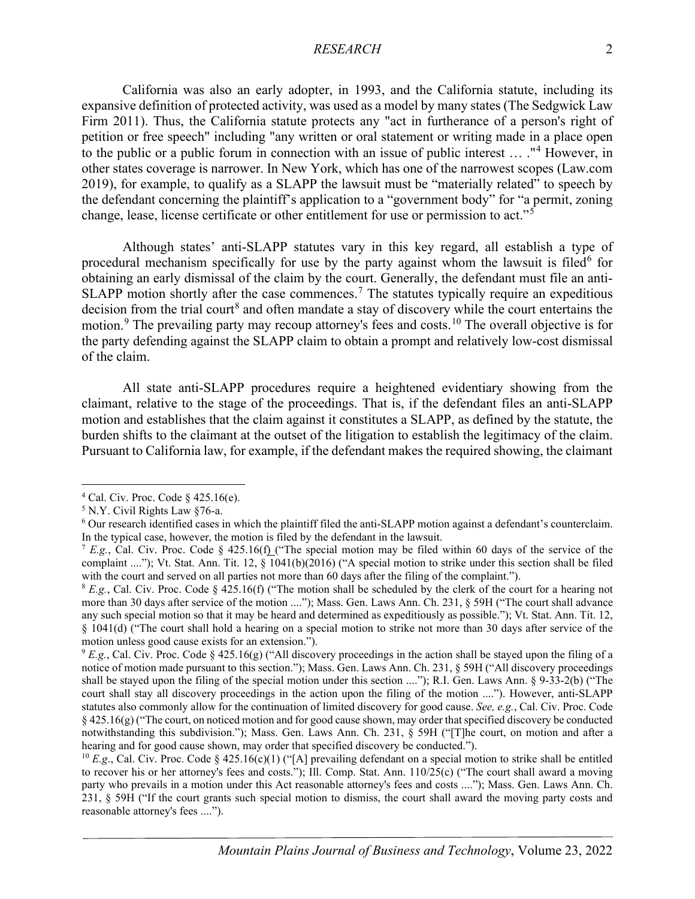California was also an early adopter, in 1993, and the California statute, including its expansive definition of protected activity, was used as a model by many states (The Sedgwick Law Firm 2011). Thus, the California statute protects any "act in furtherance of a person's right of petition or free speech" including "any written or oral statement or writing made in a place open to the public or a public forum in connection with an issue of public interest … ."[4](#page-2-0) However, in other states coverage is narrower. In New York, which has one of the narrowest scopes (Law.com 2019), for example, to qualify as a SLAPP the lawsuit must be "materially related" to speech by the defendant concerning the plaintiff's application to a "government body" for "a permit, zoning change, lease, license certificate or other entitlement for use or permission to act."[5](#page-2-1)

Although states' anti-SLAPP statutes vary in this key regard, all establish a type of procedural mechanism specifically for use by the party against whom the lawsuit is filed<sup>[6](#page-2-2)</sup> for obtaining an early dismissal of the claim by the court. Generally, the defendant must file an anti-SLAPP motion shortly after the case commences.<sup>[7](#page-2-3)</sup> The statutes typically require an expeditious decision from the trial court<sup>[8](#page-2-4)</sup> and often mandate a stay of discovery while the court entertains the motion.<sup>[9](#page-2-5)</sup> The prevailing party may recoup attorney's fees and costs.<sup>[10](#page-2-6)</sup> The overall objective is for the party defending against the SLAPP claim to obtain a prompt and relatively low-cost dismissal of the claim.

All state anti-SLAPP procedures require a heightened evidentiary showing from the claimant, relative to the stage of the proceedings. That is, if the defendant files an anti-SLAPP motion and establishes that the claim against it constitutes a SLAPP, as defined by the statute, the burden shifts to the claimant at the outset of the litigation to establish the legitimacy of the claim. Pursuant to California law, for example, if the defendant makes the required showing, the claimant

<span id="page-2-0"></span> $4$  Cal. Civ. Proc. Code § 425.16(e).

<span id="page-2-1"></span><sup>5</sup> N.Y. Civil Rights Law §76-a.

<span id="page-2-2"></span><sup>6</sup> Our research identified cases in which the plaintiff filed the anti-SLAPP motion against a defendant's counterclaim. In the typical case, however, the motion is filed by the defendant in the lawsuit.

<span id="page-2-3"></span><sup>&</sup>lt;sup>7</sup> *E.g.*, [Cal. Civ. Proc. Code § 425.16\(f\)](https://1-next-westlaw-com.emporiastate.idm.oclc.org/Link/Document/FullText?findType=L&pubNum=1000201&cite=CACPS425.16&originatingDoc=I43288526f4ac11e698dc8b09b4f043e0&refType=LQ&originationContext=document&transitionType=DocumentItem&contextData=(sc.Search)) ("The special motion may be filed within 60 days of the service of the complaint ...."); Vt. Stat. Ann. Tit. 12, § 1041(b)(2016) ("A special motion to strike under this section shall be filed with the court and served on all parties not more than 60 days after the filing of the complaint.").

<span id="page-2-4"></span> $8 E.g.,$  Cal. Civ. Proc. Code  $§$  425.16(f) ("The motion shall be scheduled by the clerk of the court for a hearing not more than 30 days after service of the motion ...."); Mass. Gen. Laws Ann. Ch. 231, § 59H ("The court shall advance any such special motion so that it may be heard and determined as expeditiously as possible."); Vt. Stat. Ann. Tit. 12, § 1041(d) ("The court shall hold a hearing on a special motion to strike not more than 30 days after service of the motion unless good cause exists for an extension.").

<span id="page-2-5"></span> $9 E.g.,$  Cal. Civ. Proc. Code § 425.16(g) ("All discovery proceedings in the action shall be stayed upon the filing of a notice of motion made pursuant to this section."); Mass. Gen. Laws Ann. Ch. 231, § 59H ("All discovery proceedings shall be stayed upon the filing of the special motion under this section ...."); R.I. Gen. Laws Ann. § 9-33-2(b) ("The court shall stay all discovery proceedings in the action upon the filing of the motion ...."). However, anti-SLAPP statutes also commonly allow for the continuation of limited discovery for good cause. *See, e.g.*, Cal. Civ. Proc. Code  $§$  425.16(g) ("The court, on noticed motion and for good cause shown, may order that specified discovery be conducted notwithstanding this subdivision."); Mass. Gen. Laws Ann. Ch. 231, § 59H ("[T]he court, on motion and after a hearing and for good cause shown, may order that specified discovery be conducted.").

<span id="page-2-6"></span><sup>&</sup>lt;sup>10</sup> *E.g.*, Cal. Civ. Proc. Code § 425.16(c)(1) ("[A] prevailing defendant on a special motion to strike shall be entitled to recover his or her attorney's fees and costs."); Ill. Comp. Stat. Ann. 110/25(c) ("The court shall award a moving party who prevails in a motion under this Act reasonable attorney's fees and costs ...."); Mass. Gen. Laws Ann. Ch. 231, § 59H ("If the court grants such special motion to dismiss, the court shall award the moving party costs and reasonable attorney's fees ....").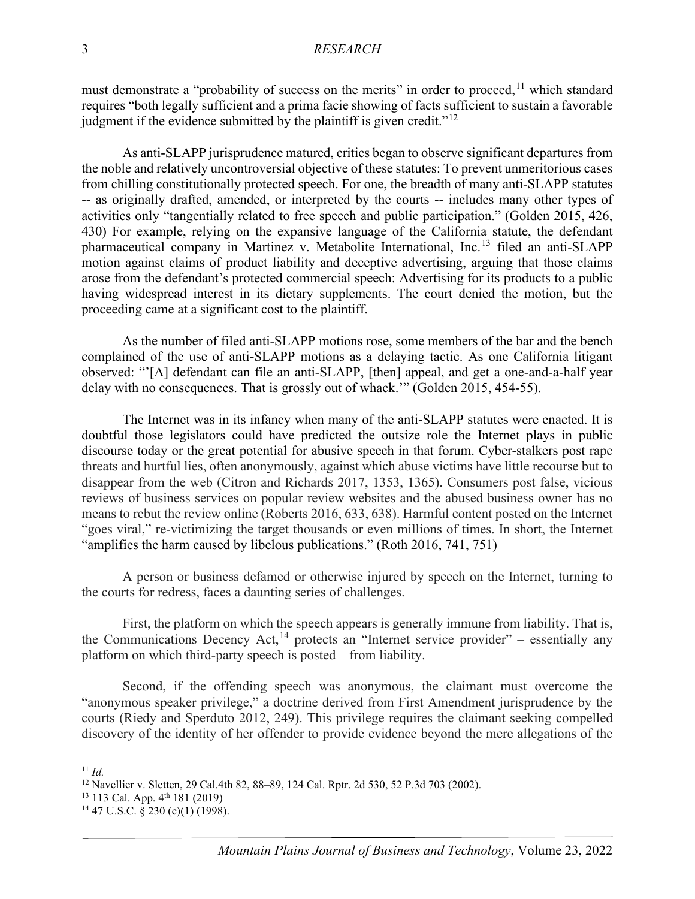must demonstrate a "probability of success on the merits" in order to proceed,  $11$  which standard requires "both legally sufficient and a prima facie showing of facts sufficient to sustain a favorable judgment if the evidence submitted by the plaintiff is given credit."<sup>[12](#page-3-1)</sup>

As anti-SLAPP jurisprudence matured, critics began to observe significant departures from the noble and relatively uncontroversial objective of these statutes: To prevent unmeritorious cases from chilling constitutionally protected speech. For one, the breadth of many anti-SLAPP statutes -- as originally drafted, amended, or interpreted by the courts -- includes many other types of activities only "tangentially related to free speech and public participation." (Golden 2015, 426, 430) For example, relying on the expansive language of the California statute, the defendant pharmaceutical company in Martinez v. Metabolite International, Inc.[13](#page-3-2) filed an anti-SLAPP motion against claims of product liability and deceptive advertising, arguing that those claims arose from the defendant's protected commercial speech: Advertising for its products to a public having widespread interest in its dietary supplements. The court denied the motion, but the proceeding came at a significant cost to the plaintiff.

As the number of filed anti-SLAPP motions rose, some members of the bar and the bench complained of the use of anti-SLAPP motions as a delaying tactic. As one California litigant observed: "'[A] defendant can file an anti-SLAPP, [then] appeal, and get a one-and-a-half year delay with no consequences. That is grossly out of whack.'" (Golden 2015, 454-55).

The Internet was in its infancy when many of the anti-SLAPP statutes were enacted. It is doubtful those legislators could have predicted the outsize role the Internet plays in public discourse today or the great potential for abusive speech in that forum. Cyber-stalkers post rape threats and hurtful lies, often anonymously, against which abuse victims have little recourse but to disappear from the web (Citron and Richards 2017, 1353, 1365). Consumers post false, vicious reviews of business services on popular review websites and the abused business owner has no means to rebut the review online (Roberts 2016, 633, 638). Harmful content posted on the Internet "goes viral," re-victimizing the target thousands or even millions of times. In short, the Internet "amplifies the harm caused by libelous publications." (Roth 2016, 741, 751)

A person or business defamed or otherwise injured by speech on the Internet, turning to the courts for redress, faces a daunting series of challenges.

First, the platform on which the speech appears is generally immune from liability. That is, the Communications Decency Act,<sup>[14](#page-3-3)</sup> protects an "Internet service provider" – essentially any platform on which third-party speech is posted – from liability.

Second, if the offending speech was anonymous, the claimant must overcome the "anonymous speaker privilege," a doctrine derived from First Amendment jurisprudence by the courts (Riedy and Sperduto 2012, 249). This privilege requires the claimant seeking compelled discovery of the identity of her offender to provide evidence beyond the mere allegations of the

<span id="page-3-0"></span><sup>11</sup> *Id.*

<span id="page-3-1"></span><sup>12</sup> [Navellier v. Sletten, 29 Cal.4th 82, 88–89, 124 Cal. Rptr. 2d 530, 52 P.3d 703](https://advance.lexis.com/api/document?collection=cases&id=urn:contentItem:46MN-HYV0-0039-40WW-00000-00&context=) (2002).

<span id="page-3-2"></span> $13$  113 Cal. App.  $4<sup>th</sup>$  181 (2019)

<span id="page-3-3"></span> $14$  47 U.S.C.  $\frac{230}{10}$  (c)(1) (1998).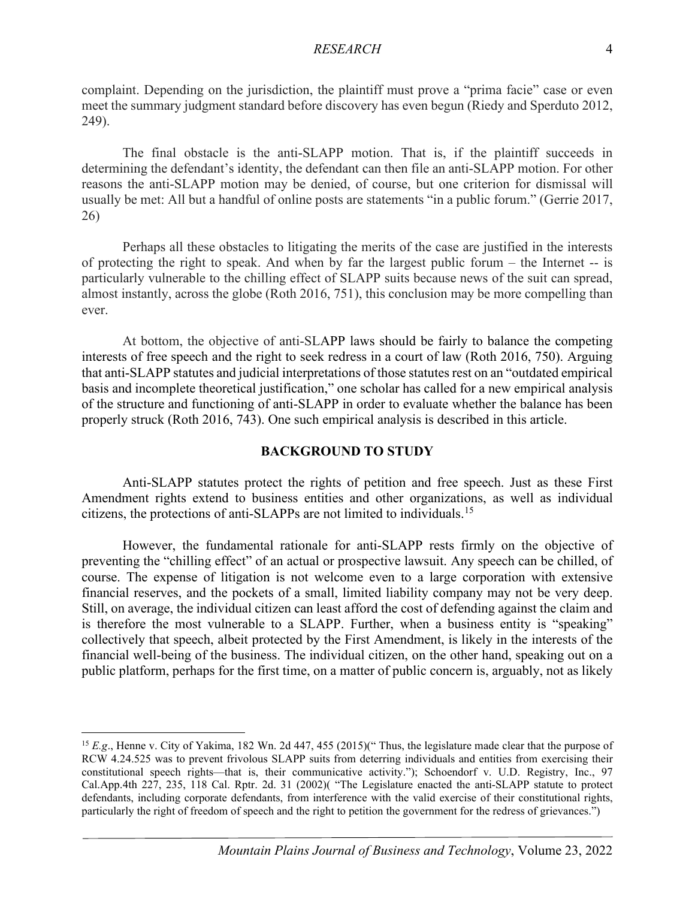complaint. Depending on the jurisdiction, the plaintiff must prove a "prima facie" case or even meet the summary judgment standard before discovery has even begun (Riedy and Sperduto 2012, 249).

The final obstacle is the anti-SLAPP motion. That is, if the plaintiff succeeds in determining the defendant's identity, the defendant can then file an anti-SLAPP motion. For other reasons the anti-SLAPP motion may be denied, of course, but one criterion for dismissal will usually be met: All but a handful of online posts are statements "in a public forum." (Gerrie 2017, 26)

Perhaps all these obstacles to litigating the merits of the case are justified in the interests of protecting the right to speak. And when by far the largest public forum – the Internet -- is particularly vulnerable to the chilling effect of SLAPP suits because news of the suit can spread, almost instantly, across the globe (Roth 2016, 751), this conclusion may be more compelling than ever.

At bottom, the objective of anti-SLAPP laws should be fairly to balance the competing interests of free speech and the right to seek redress in a court of law (Roth 2016, 750). Arguing that anti-SLAPP statutes and judicial interpretations of those statutes rest on an "outdated empirical basis and incomplete theoretical justification," one scholar has called for a new empirical analysis of the structure and functioning of anti-SLAPP in order to evaluate whether the balance has been properly struck (Roth 2016, 743). One such empirical analysis is described in this article.

# **BACKGROUND TO STUDY**

Anti-SLAPP statutes protect the rights of petition and free speech. Just as these First Amendment rights extend to business entities and other organizations, as well as individual citizens, the protections of anti-SLAPPs are not limited to individuals.[15](#page-4-0)

However, the fundamental rationale for anti-SLAPP rests firmly on the objective of preventing the "chilling effect" of an actual or prospective lawsuit. Any speech can be chilled, of course. The expense of litigation is not welcome even to a large corporation with extensive financial reserves, and the pockets of a small, limited liability company may not be very deep. Still, on average, the individual citizen can least afford the cost of defending against the claim and is therefore the most vulnerable to a SLAPP. Further, when a business entity is "speaking" collectively that speech, albeit protected by the First Amendment, is likely in the interests of the financial well-being of the business. The individual citizen, on the other hand, speaking out on a public platform, perhaps for the first time, on a matter of public concern is, arguably, not as likely

<span id="page-4-0"></span><sup>15</sup> *E.g*., Henne v. City of Yakima, 182 Wn. 2d 447, 455 (2015)(" Thus, the legislature made clear that the purpose of RCW 4.24.525 was to prevent frivolous SLAPP suits from deterring individuals and entities from exercising their constitutional speech rights—that is, their communicative activity."); Schoendorf v. U.D. Registry, Inc., 97 Cal.App.4th 227, 235, 118 Cal. Rptr. 2d. 31 (2002)( "The Legislature enacted the anti-SLAPP statute to protect defendants, including corporate defendants, from interference with the valid exercise of their constitutional rights, particularly the right of freedom of speech and the right to petition the government for the redress of grievances.")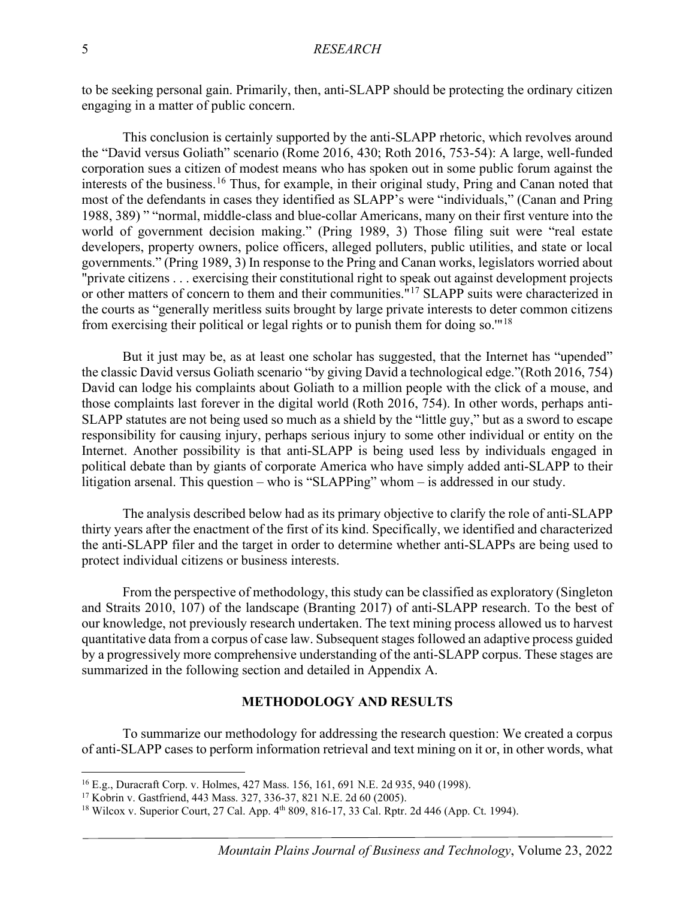to be seeking personal gain. Primarily, then, anti-SLAPP should be protecting the ordinary citizen engaging in a matter of public concern.

This conclusion is certainly supported by the anti-SLAPP rhetoric, which revolves around the "David versus Goliath" scenario (Rome 2016, 430; Roth 2016, 753-54): A large, well-funded corporation sues a citizen of modest means who has spoken out in some public forum against the interests of the business.<sup>[16](#page-5-0)</sup> Thus, for example, in their original study, Pring and Canan noted that most of the defendants in cases they identified as SLAPP's were "individuals," (Canan and Pring 1988, 389) " "normal, middle-class and blue-collar Americans, many on their first venture into the world of government decision making." (Pring 1989, 3) Those filing suit were "real estate developers, property owners, police officers, alleged polluters, public utilities, and state or local governments." (Pring 1989, 3) In response to the Pring and Canan works, legislators worried about "private citizens . . . exercising their constitutional right to speak out against development projects or other matters of concern to them and their communities.<sup>"[17](#page-5-1)</sup> SLAPP suits were characterized in the courts as "generally meritless suits brought by large private interests to deter common citizens from exercising their political or legal rights or to punish them for doing so.'"[18](#page-5-2)

But it just may be, as at least one scholar has suggested, that the Internet has "upended" the classic David versus Goliath scenario "by giving David a technological edge."(Roth 2016, 754) David can lodge his complaints about Goliath to a million people with the click of a mouse, and those complaints last forever in the digital world (Roth 2016, 754). In other words, perhaps anti-SLAPP statutes are not being used so much as a shield by the "little guy," but as a sword to escape responsibility for causing injury, perhaps serious injury to some other individual or entity on the Internet. Another possibility is that anti-SLAPP is being used less by individuals engaged in political debate than by giants of corporate America who have simply added anti-SLAPP to their litigation arsenal. This question – who is "SLAPPing" whom – is addressed in our study.

The analysis described below had as its primary objective to clarify the role of anti-SLAPP thirty years after the enactment of the first of its kind. Specifically, we identified and characterized the anti-SLAPP filer and the target in order to determine whether anti-SLAPPs are being used to protect individual citizens or business interests.

From the perspective of methodology, this study can be classified as exploratory (Singleton and Straits 2010, 107) of the landscape (Branting 2017) of anti-SLAPP research. To the best of our knowledge, not previously research undertaken. The text mining process allowed us to harvest quantitative data from a corpus of case law. Subsequent stages followed an adaptive process guided by a progressively more comprehensive understanding of the anti-SLAPP corpus. These stages are summarized in the following section and detailed in Appendix A.

## **METHODOLOGY AND RESULTS**

To summarize our methodology for addressing the research question: We created a corpus of anti-SLAPP cases to perform information retrieval and text mining on it or, in other words, what

<span id="page-5-0"></span><sup>16</sup> E.g., Duracraft Corp. v. Holmes, 427 Mass. 156, 161, 691 N.E. 2d 935, 940 (1998).

<span id="page-5-1"></span><sup>17</sup> Kobrin v. Gastfriend, 443 Mass. 327, 336-37, 821 N.E. 2d 60 (2005).

<span id="page-5-2"></span><sup>&</sup>lt;sup>18</sup> Wilcox v. Superior Court, 27 Cal. App. 4<sup>th</sup> 809, 816-17, 33 Cal. Rptr. 2d 446 (App. Ct. 1994).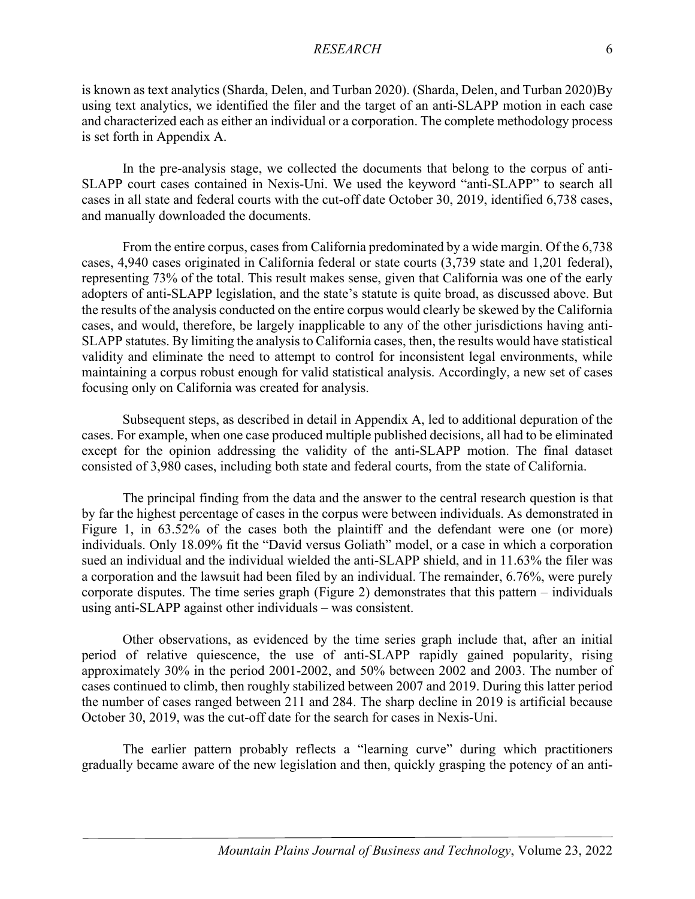is known as text analytics (Sharda, Delen, and Turban 2020). (Sharda, Delen, and Turban 2020)By using text analytics, we identified the filer and the target of an anti-SLAPP motion in each case and characterized each as either an individual or a corporation. The complete methodology process is set forth in Appendix A.

In the pre-analysis stage, we collected the documents that belong to the corpus of anti-SLAPP court cases contained in Nexis-Uni. We used the keyword "anti-SLAPP" to search all cases in all state and federal courts with the cut-off date October 30, 2019, identified 6,738 cases, and manually downloaded the documents.

From the entire corpus, cases from California predominated by a wide margin. Of the 6,738 cases, 4,940 cases originated in California federal or state courts (3,739 state and 1,201 federal), representing 73% of the total. This result makes sense, given that California was one of the early adopters of anti-SLAPP legislation, and the state's statute is quite broad, as discussed above. But the results of the analysis conducted on the entire corpus would clearly be skewed by the California cases, and would, therefore, be largely inapplicable to any of the other jurisdictions having anti-SLAPP statutes. By limiting the analysis to California cases, then, the results would have statistical validity and eliminate the need to attempt to control for inconsistent legal environments, while maintaining a corpus robust enough for valid statistical analysis. Accordingly, a new set of cases focusing only on California was created for analysis.

Subsequent steps, as described in detail in Appendix A, led to additional depuration of the cases. For example, when one case produced multiple published decisions, all had to be eliminated except for the opinion addressing the validity of the anti-SLAPP motion. The final dataset consisted of 3,980 cases, including both state and federal courts, from the state of California.

The principal finding from the data and the answer to the central research question is that by far the highest percentage of cases in the corpus were between individuals. As demonstrated in Figure 1, in 63.52% of the cases both the plaintiff and the defendant were one (or more) individuals. Only 18.09% fit the "David versus Goliath" model, or a case in which a corporation sued an individual and the individual wielded the anti-SLAPP shield, and in 11.63% the filer was a corporation and the lawsuit had been filed by an individual. The remainder, 6.76%, were purely corporate disputes. The time series graph (Figure 2) demonstrates that this pattern – individuals using anti-SLAPP against other individuals – was consistent.

Other observations, as evidenced by the time series graph include that, after an initial period of relative quiescence, the use of anti-SLAPP rapidly gained popularity, rising approximately 30% in the period 2001-2002, and 50% between 2002 and 2003. The number of cases continued to climb, then roughly stabilized between 2007 and 2019. During this latter period the number of cases ranged between 211 and 284. The sharp decline in 2019 is artificial because October 30, 2019, was the cut-off date for the search for cases in Nexis-Uni.

The earlier pattern probably reflects a "learning curve" during which practitioners gradually became aware of the new legislation and then, quickly grasping the potency of an anti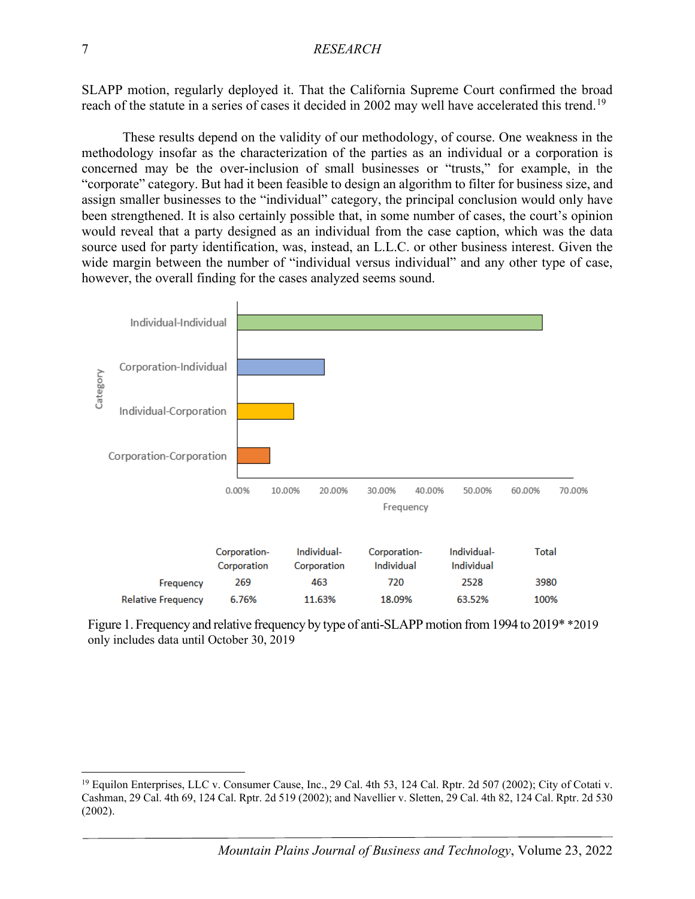SLAPP motion, regularly deployed it. That the California Supreme Court confirmed the broad reach of the statute in a series of cases it decided in 2002 may well have accelerated this trend.<sup>[19](#page-7-0)</sup>

These results depend on the validity of our methodology, of course. One weakness in the methodology insofar as the characterization of the parties as an individual or a corporation is concerned may be the over-inclusion of small businesses or "trusts," for example, in the "corporate" category. But had it been feasible to design an algorithm to filter for business size, and assign smaller businesses to the "individual" category, the principal conclusion would only have been strengthened. It is also certainly possible that, in some number of cases, the court's opinion would reveal that a party designed as an individual from the case caption, which was the data source used for party identification, was, instead, an L.L.C. or other business interest. Given the wide margin between the number of "individual versus individual" and any other type of case, however, the overall finding for the cases analyzed seems sound.



Figure 1. Frequency and relative frequency by type of anti-SLAPP motion from 1994 to 2019\* \*2019 only includes data until October 30, 2019

<span id="page-7-0"></span><sup>&</sup>lt;sup>19</sup> Equilon Enterprises, LLC v. Consumer Cause, Inc., 29 Cal. 4th 53, 124 Cal. Rptr. 2d 507 (2002); City of Cotati v. Cashman, 29 Cal. 4th 69, 124 Cal. Rptr. 2d 519 (2002); and Navellier v. Sletten, 29 Cal. 4th 82, 124 Cal. Rptr. 2d 530 (2002).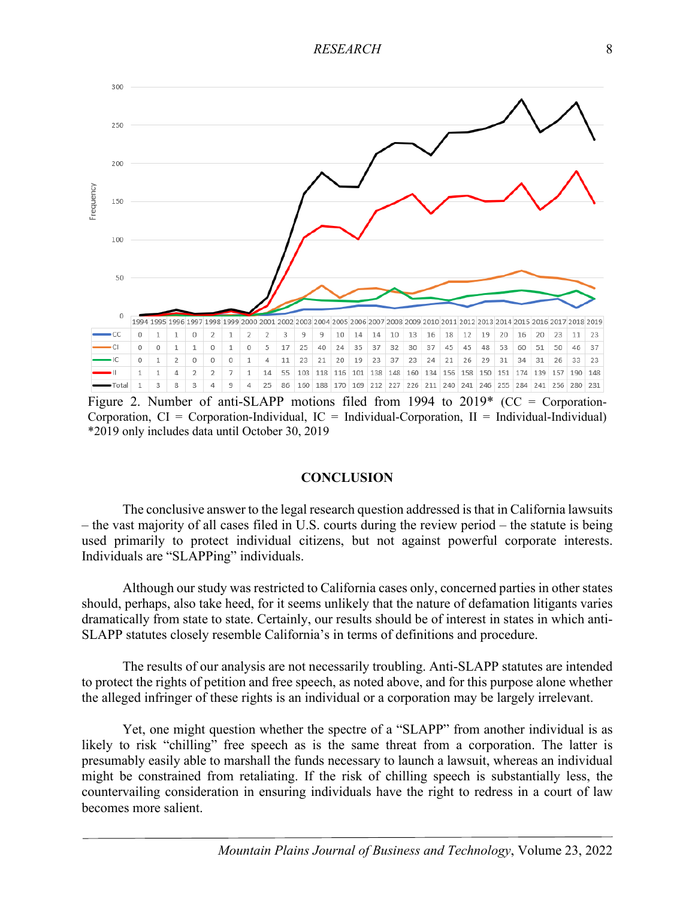

Figure 2. Number of anti-SLAPP motions filed from 1994 to  $2019*$  (CC = Corporation-Corporation,  $CI = Corporation$ -Individual,  $IC = Individual-Corporation$ ,  $II = Individual-Individual)$ \*2019 only includes data until October 30, 2019

#### **CONCLUSION**

The conclusive answer to the legal research question addressed is that in California lawsuits – the vast majority of all cases filed in U.S. courts during the review period – the statute is being used primarily to protect individual citizens, but not against powerful corporate interests. Individuals are "SLAPPing" individuals.

Although our study was restricted to California cases only, concerned parties in other states should, perhaps, also take heed, for it seems unlikely that the nature of defamation litigants varies dramatically from state to state. Certainly, our results should be of interest in states in which anti-SLAPP statutes closely resemble California's in terms of definitions and procedure.

The results of our analysis are not necessarily troubling. Anti-SLAPP statutes are intended to protect the rights of petition and free speech, as noted above, and for this purpose alone whether the alleged infringer of these rights is an individual or a corporation may be largely irrelevant.

Yet, one might question whether the spectre of a "SLAPP" from another individual is as likely to risk "chilling" free speech as is the same threat from a corporation. The latter is presumably easily able to marshall the funds necessary to launch a lawsuit, whereas an individual might be constrained from retaliating. If the risk of chilling speech is substantially less, the countervailing consideration in ensuring individuals have the right to redress in a court of law becomes more salient.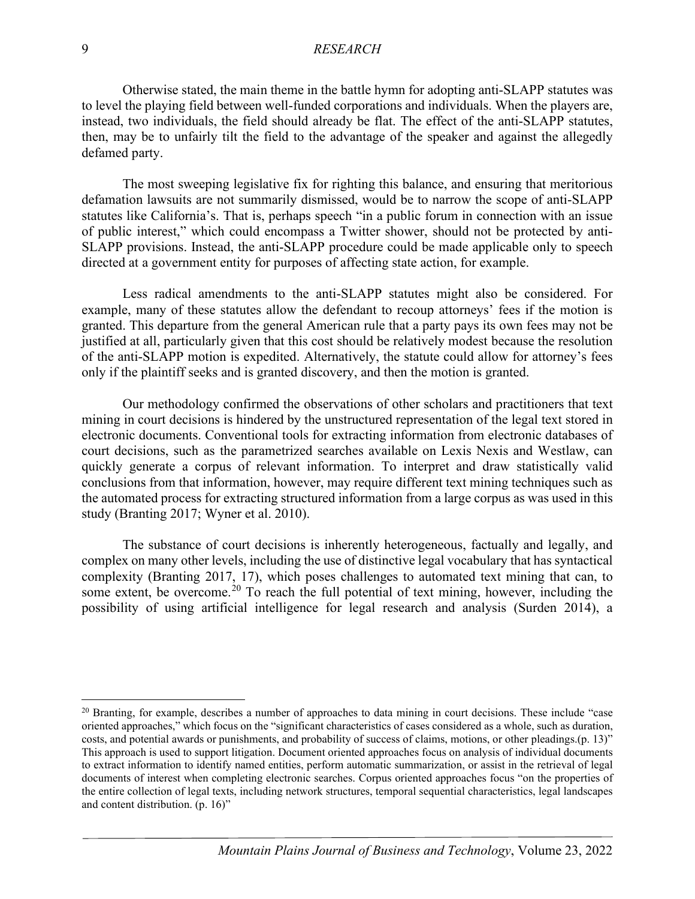Otherwise stated, the main theme in the battle hymn for adopting anti-SLAPP statutes was to level the playing field between well-funded corporations and individuals. When the players are, instead, two individuals, the field should already be flat. The effect of the anti-SLAPP statutes, then, may be to unfairly tilt the field to the advantage of the speaker and against the allegedly defamed party.

The most sweeping legislative fix for righting this balance, and ensuring that meritorious defamation lawsuits are not summarily dismissed, would be to narrow the scope of anti-SLAPP statutes like California's. That is, perhaps speech "in a public forum in connection with an issue of public interest," which could encompass a Twitter shower, should not be protected by anti-SLAPP provisions. Instead, the anti-SLAPP procedure could be made applicable only to speech directed at a government entity for purposes of affecting state action, for example.

Less radical amendments to the anti-SLAPP statutes might also be considered. For example, many of these statutes allow the defendant to recoup attorneys' fees if the motion is granted. This departure from the general American rule that a party pays its own fees may not be justified at all, particularly given that this cost should be relatively modest because the resolution of the anti-SLAPP motion is expedited. Alternatively, the statute could allow for attorney's fees only if the plaintiff seeks and is granted discovery, and then the motion is granted.

Our methodology confirmed the observations of other scholars and practitioners that text mining in court decisions is hindered by the unstructured representation of the legal text stored in electronic documents. Conventional tools for extracting information from electronic databases of court decisions, such as the parametrized searches available on Lexis Nexis and Westlaw, can quickly generate a corpus of relevant information. To interpret and draw statistically valid conclusions from that information, however, may require different text mining techniques such as the automated process for extracting structured information from a large corpus as was used in this study (Branting 2017; Wyner et al. 2010).

The substance of court decisions is inherently heterogeneous, factually and legally, and complex on many other levels, including the use of distinctive legal vocabulary that has syntactical complexity (Branting 2017, 17), which poses challenges to automated text mining that can, to some extent, be overcome.<sup>[20](#page-9-0)</sup> To reach the full potential of text mining, however, including the possibility of using artificial intelligence for legal research and analysis (Surden 2014), a

<span id="page-9-0"></span> $20$  Branting, for example, describes a number of approaches to data mining in court decisions. These include "case" oriented approaches," which focus on the "significant characteristics of cases considered as a whole, such as duration, costs, and potential awards or punishments, and probability of success of claims, motions, or other pleadings.(p. 13)" This approach is used to support litigation. Document oriented approaches focus on analysis of individual documents to extract information to identify named entities, perform automatic summarization, or assist in the retrieval of legal documents of interest when completing electronic searches. Corpus oriented approaches focus "on the properties of the entire collection of legal texts, including network structures, temporal sequential characteristics, legal landscapes and content distribution. (p. 16)"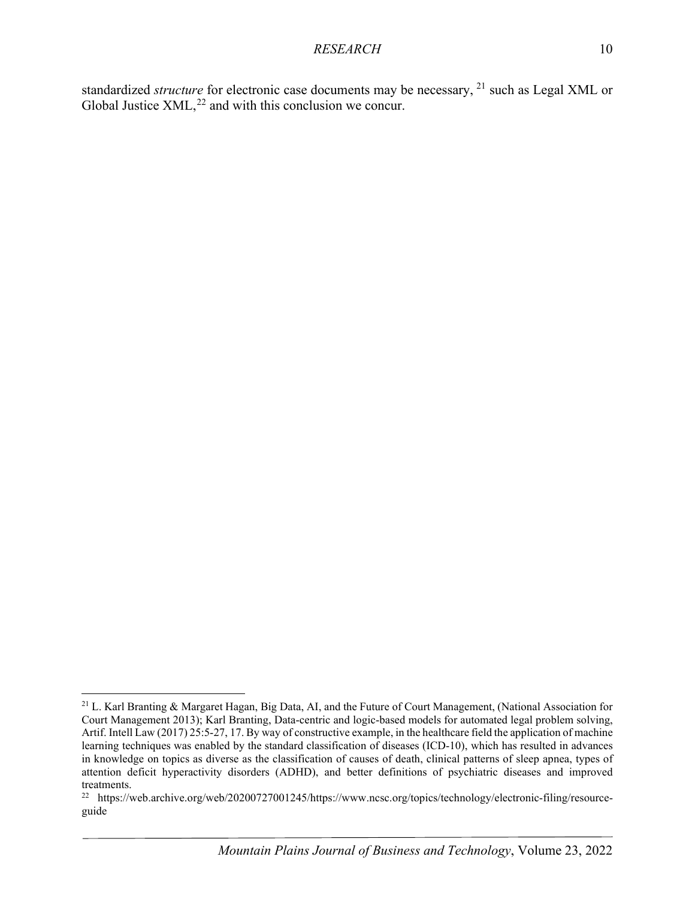standardized *structure* for electronic case documents may be necessary, <sup>[21](#page-10-0)</sup> such as Legal XML or Global Justice  $XML<sup>22</sup>$  $XML<sup>22</sup>$  $XML<sup>22</sup>$  and with this conclusion we concur.

<span id="page-10-0"></span><sup>&</sup>lt;sup>21</sup> L. Karl Branting & Margaret Hagan, Big Data, AI, and the Future of Court Management, (National Association for Court Management 2013); Karl Branting, Data-centric and logic-based models for automated legal problem solving, Artif. Intell Law (2017) 25:5-27, 17. By way of constructive example, in the healthcare field the application of machine learning techniques was enabled by the standard classification of diseases (ICD-10), which has resulted in advances in knowledge on topics as diverse as the classification of causes of death, clinical patterns of sleep apnea, types of attention deficit hyperactivity disorders (ADHD), and better definitions of psychiatric diseases and improved treatments.

<span id="page-10-1"></span><sup>22</sup> https://web.archive.org/web/20200727001245/https://www.ncsc.org/topics/technology/electronic-filing/resourceguide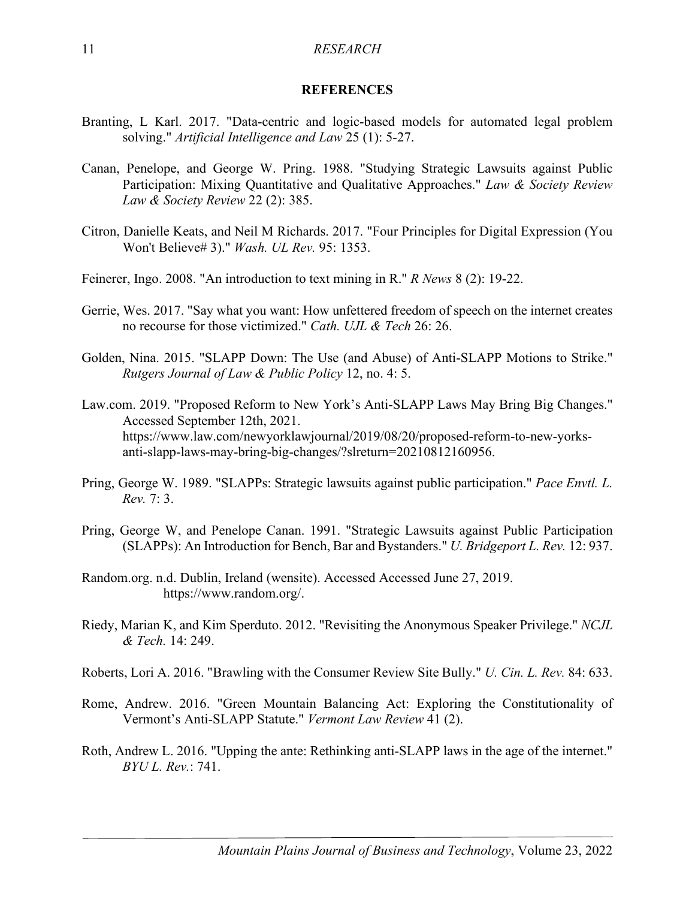#### **REFERENCES**

- Branting, L Karl. 2017. "Data-centric and logic-based models for automated legal problem solving." *Artificial Intelligence and Law* 25 (1): 5-27.
- Canan, Penelope, and George W. Pring. 1988. "Studying Strategic Lawsuits against Public Participation: Mixing Quantitative and Qualitative Approaches." *Law & Society Review Law & Society Review* 22 (2): 385.
- Citron, Danielle Keats, and Neil M Richards. 2017. "Four Principles for Digital Expression (You Won't Believe# 3)." *Wash. UL Rev.* 95: 1353.
- Feinerer, Ingo. 2008. "An introduction to text mining in R." *R News* 8 (2): 19-22.
- Gerrie, Wes. 2017. "Say what you want: How unfettered freedom of speech on the internet creates no recourse for those victimized." *Cath. UJL & Tech* 26: 26.
- Golden, Nina. 2015. "SLAPP Down: The Use (and Abuse) of Anti-SLAPP Motions to Strike." *Rutgers Journal of Law & Public Policy* 12, no. 4: 5.
- Law.com. 2019. "Proposed Reform to New York's Anti-SLAPP Laws May Bring Big Changes." Accessed September 12th, 2021. https://www.law.com/newyorklawjournal/2019/08/20/proposed-reform-to-new-yorksanti-slapp-laws-may-bring-big-changes/?slreturn=20210812160956.
- Pring, George W. 1989. "SLAPPs: Strategic lawsuits against public participation." *Pace Envtl. L. Rev.* 7: 3.
- Pring, George W, and Penelope Canan. 1991. "Strategic Lawsuits against Public Participation (SLAPPs): An Introduction for Bench, Bar and Bystanders." *U. Bridgeport L. Rev.* 12: 937.
- Random.org. n.d. Dublin, Ireland (wensite). Accessed Accessed June 27, 2019. https://www.random.org/.
- Riedy, Marian K, and Kim Sperduto. 2012. "Revisiting the Anonymous Speaker Privilege." *NCJL & Tech.* 14: 249.
- Roberts, Lori A. 2016. "Brawling with the Consumer Review Site Bully." *U. Cin. L. Rev.* 84: 633.
- Rome, Andrew. 2016. "Green Mountain Balancing Act: Exploring the Constitutionality of Vermont's Anti-SLAPP Statute." *Vermont Law Review* 41 (2).
- Roth, Andrew L. 2016. "Upping the ante: Rethinking anti-SLAPP laws in the age of the internet." *BYU L. Rev.*: 741.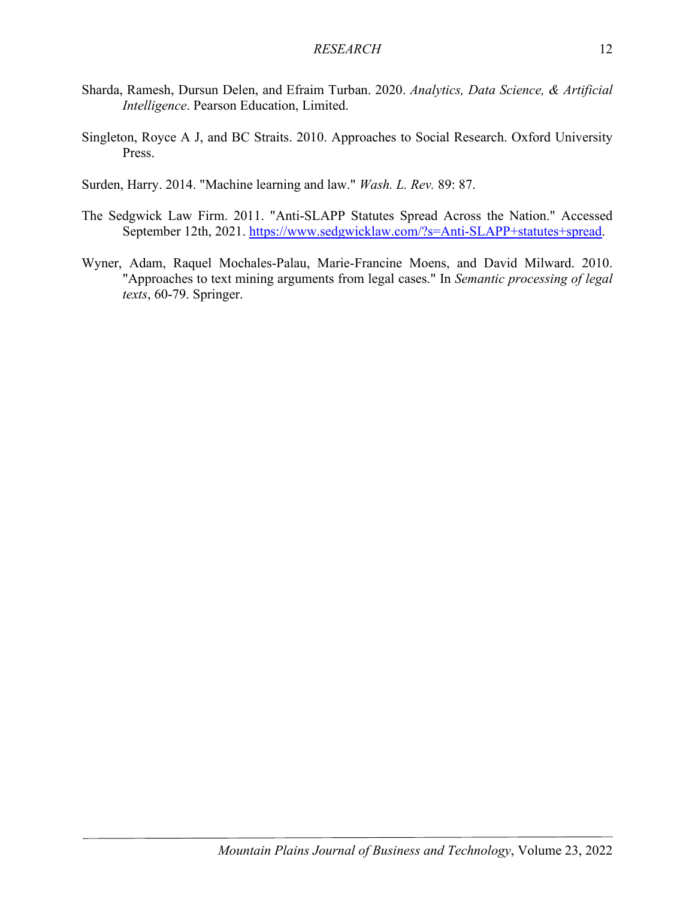- Sharda, Ramesh, Dursun Delen, and Efraim Turban. 2020. *Analytics, Data Science, & Artificial Intelligence*. Pearson Education, Limited.
- Singleton, Royce A J, and BC Straits. 2010. Approaches to Social Research. Oxford University Press.
- Surden, Harry. 2014. "Machine learning and law." *Wash. L. Rev.* 89: 87.
- The Sedgwick Law Firm. 2011. "Anti-SLAPP Statutes Spread Across the Nation." Accessed September 12th, 2021. [https://www.sedgwicklaw.com/?s=Anti-SLAPP+statutes+spread.](https://www.sedgwicklaw.com/?s=Anti-SLAPP+statutes+spread)
- Wyner, Adam, Raquel Mochales-Palau, Marie-Francine Moens, and David Milward. 2010. "Approaches to text mining arguments from legal cases." In *Semantic processing of legal texts*, 60-79. Springer.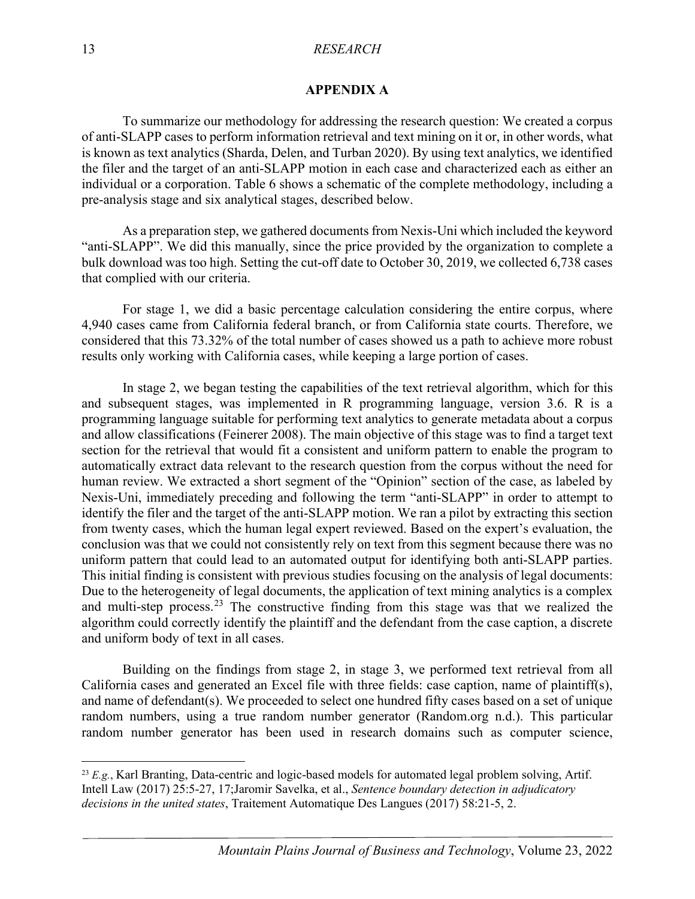### **APPENDIX A**

To summarize our methodology for addressing the research question: We created a corpus of anti-SLAPP cases to perform information retrieval and text mining on it or, in other words, what is known as text analytics (Sharda, Delen, and Turban 2020). By using text analytics, we identified the filer and the target of an anti-SLAPP motion in each case and characterized each as either an individual or a corporation. Table 6 shows a schematic of the complete methodology, including a pre-analysis stage and six analytical stages, described below.

As a preparation step, we gathered documents from Nexis-Uni which included the keyword "anti-SLAPP". We did this manually, since the price provided by the organization to complete a bulk download was too high. Setting the cut-off date to October 30, 2019, we collected 6,738 cases that complied with our criteria.

For stage 1, we did a basic percentage calculation considering the entire corpus, where 4,940 cases came from California federal branch, or from California state courts. Therefore, we considered that this 73.32% of the total number of cases showed us a path to achieve more robust results only working with California cases, while keeping a large portion of cases.

In stage 2, we began testing the capabilities of the text retrieval algorithm, which for this and subsequent stages, was implemented in R programming language, version 3.6. R is a programming language suitable for performing text analytics to generate metadata about a corpus and allow classifications (Feinerer 2008). The main objective of this stage was to find a target text section for the retrieval that would fit a consistent and uniform pattern to enable the program to automatically extract data relevant to the research question from the corpus without the need for human review. We extracted a short segment of the "Opinion" section of the case, as labeled by Nexis-Uni, immediately preceding and following the term "anti-SLAPP" in order to attempt to identify the filer and the target of the anti-SLAPP motion. We ran a pilot by extracting this section from twenty cases, which the human legal expert reviewed. Based on the expert's evaluation, the conclusion was that we could not consistently rely on text from this segment because there was no uniform pattern that could lead to an automated output for identifying both anti-SLAPP parties. This initial finding is consistent with previous studies focusing on the analysis of legal documents: Due to the heterogeneity of legal documents, the application of text mining analytics is a complex and multi-step process.<sup>[23](#page-13-0)</sup> The constructive finding from this stage was that we realized the algorithm could correctly identify the plaintiff and the defendant from the case caption, a discrete and uniform body of text in all cases.

Building on the findings from stage 2, in stage 3, we performed text retrieval from all California cases and generated an Excel file with three fields: case caption, name of plaintiff(s), and name of defendant(s). We proceeded to select one hundred fifty cases based on a set of unique random numbers, using a true random number generator (Random.org n.d.). This particular random number generator has been used in research domains such as computer science,

<span id="page-13-0"></span><sup>&</sup>lt;sup>23</sup> *E.g.*, Karl Branting, Data-centric and logic-based models for automated legal problem solving, Artif. Intell Law (2017) 25:5-27, 17;Jaromir Savelka, et al., *Sentence boundary detection in adjudicatory decisions in the united states*, Traitement Automatique Des Langues (2017) 58:21-5, 2.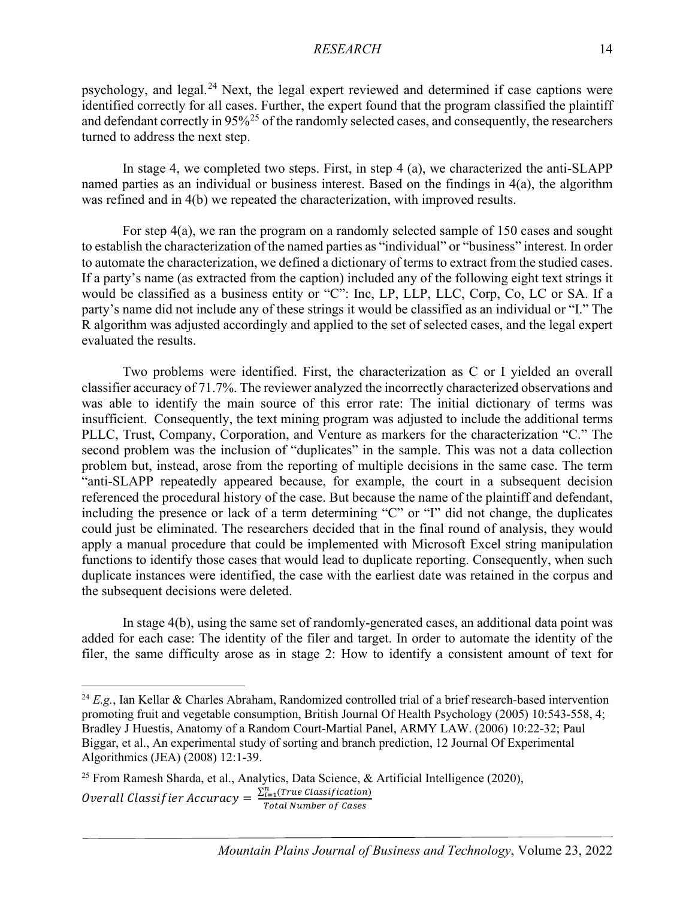psychology, and legal.<sup>[24](#page-14-0)</sup> Next, the legal expert reviewed and determined if case captions were identified correctly for all cases. Further, the expert found that the program classified the plaintiff and defendant correctly in  $95\%^{25}$  $95\%^{25}$  $95\%^{25}$  of the randomly selected cases, and consequently, the researchers turned to address the next step.

In stage 4, we completed two steps. First, in step 4 (a), we characterized the anti-SLAPP named parties as an individual or business interest. Based on the findings in 4(a), the algorithm was refined and in 4(b) we repeated the characterization, with improved results.

For step 4(a), we ran the program on a randomly selected sample of 150 cases and sought to establish the characterization of the named parties as "individual" or "business" interest. In order to automate the characterization, we defined a dictionary of terms to extract from the studied cases. If a party's name (as extracted from the caption) included any of the following eight text strings it would be classified as a business entity or "C": Inc, LP, LLP, LLC, Corp, Co, LC or SA. If a party's name did not include any of these strings it would be classified as an individual or "I." The R algorithm was adjusted accordingly and applied to the set of selected cases, and the legal expert evaluated the results.

Two problems were identified. First, the characterization as C or I yielded an overall classifier accuracy of 71.7%. The reviewer analyzed the incorrectly characterized observations and was able to identify the main source of this error rate: The initial dictionary of terms was insufficient. Consequently, the text mining program was adjusted to include the additional terms PLLC, Trust, Company, Corporation, and Venture as markers for the characterization "C." The second problem was the inclusion of "duplicates" in the sample. This was not a data collection problem but, instead, arose from the reporting of multiple decisions in the same case. The term "anti-SLAPP repeatedly appeared because, for example, the court in a subsequent decision referenced the procedural history of the case. But because the name of the plaintiff and defendant, including the presence or lack of a term determining "C" or "I" did not change, the duplicates could just be eliminated. The researchers decided that in the final round of analysis, they would apply a manual procedure that could be implemented with Microsoft Excel string manipulation functions to identify those cases that would lead to duplicate reporting. Consequently, when such duplicate instances were identified, the case with the earliest date was retained in the corpus and the subsequent decisions were deleted.

In stage 4(b), using the same set of randomly-generated cases, an additional data point was added for each case: The identity of the filer and target. In order to automate the identity of the filer, the same difficulty arose as in stage 2: How to identify a consistent amount of text for

<span id="page-14-0"></span><sup>&</sup>lt;sup>24</sup>  $E.g.,$  Ian Kellar & Charles Abraham, Randomized controlled trial of a brief research-based intervention promoting fruit and vegetable consumption, British Journal Of Health Psychology (2005) 10:543-558, 4; Bradley J Huestis, Anatomy of a Random Court-Martial Panel, ARMY LAW. (2006) 10:22-32; Paul Biggar, et al., An experimental study of sorting and branch prediction, 12 Journal Of Experimental Algorithmics (JEA) (2008) 12:1-39.

<span id="page-14-1"></span><sup>&</sup>lt;sup>25</sup> From Ramesh Sharda, et al., Analytics, Data Science, & Artificial Intelligence (2020), Overall Classifier Accuracy =  $\frac{\sum_{i=1}^{n} (True \ classification)}{Total \ Number \ of \ Cases}$ Total Number of Cases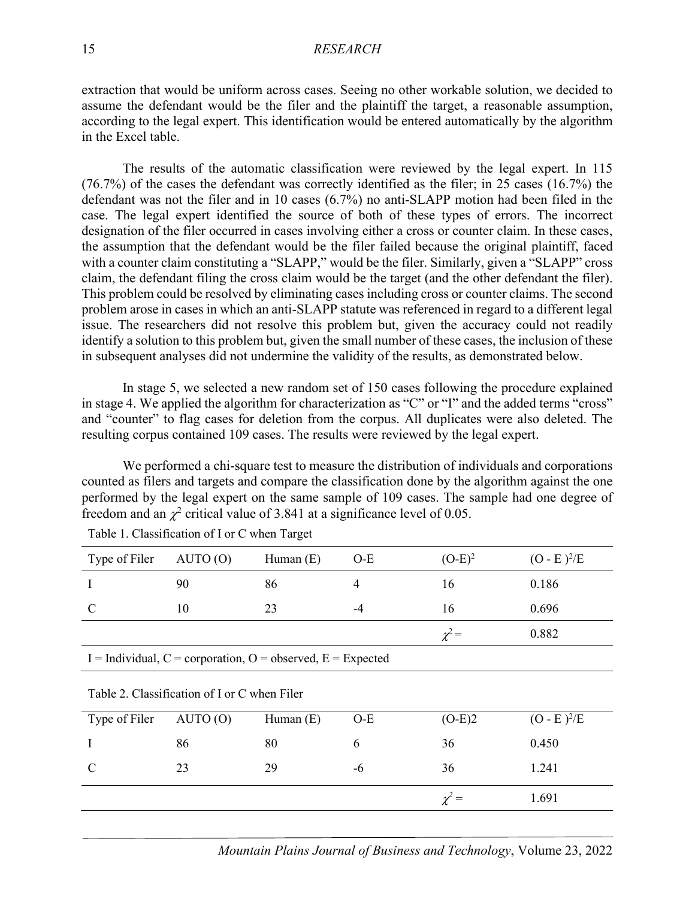extraction that would be uniform across cases. Seeing no other workable solution, we decided to assume the defendant would be the filer and the plaintiff the target, a reasonable assumption, according to the legal expert. This identification would be entered automatically by the algorithm in the Excel table.

The results of the automatic classification were reviewed by the legal expert. In 115 (76.7%) of the cases the defendant was correctly identified as the filer; in 25 cases (16.7%) the defendant was not the filer and in 10 cases (6.7%) no anti-SLAPP motion had been filed in the case. The legal expert identified the source of both of these types of errors. The incorrect designation of the filer occurred in cases involving either a cross or counter claim. In these cases, the assumption that the defendant would be the filer failed because the original plaintiff, faced with a counter claim constituting a "SLAPP," would be the filer. Similarly, given a "SLAPP" cross claim, the defendant filing the cross claim would be the target (and the other defendant the filer). This problem could be resolved by eliminating cases including cross or counter claims. The second problem arose in cases in which an anti-SLAPP statute was referenced in regard to a different legal issue. The researchers did not resolve this problem but, given the accuracy could not readily identify a solution to this problem but, given the small number of these cases, the inclusion of these in subsequent analyses did not undermine the validity of the results, as demonstrated below.

In stage 5, we selected a new random set of 150 cases following the procedure explained in stage 4. We applied the algorithm for characterization as "C" or "I" and the added terms "cross" and "counter" to flag cases for deletion from the corpus. All duplicates were also deleted. The resulting corpus contained 109 cases. The results were reviewed by the legal expert.

We performed a chi-square test to measure the distribution of individuals and corporations counted as filers and targets and compare the classification done by the algorithm against the one performed by the legal expert on the same sample of 109 cases. The sample had one degree of freedom and an  $\chi^2$  critical value of 3.841 at a significance level of 0.05.

| Type of Filer                                               | AUTO(0) | Human $(E)$ | $O-E$          | $(O-E)^2$  | $(O - E)^2/E$ |
|-------------------------------------------------------------|---------|-------------|----------------|------------|---------------|
| I                                                           | 90      | 86          | $\overline{4}$ | 16         | 0.186         |
| C                                                           | 10      | 23          | -4             | 16         | 0.696         |
|                                                             |         |             |                | $\chi^2$ = | 0.882         |
| I = Individual, C = corporation, O = observed, E = Expected |         |             |                |            |               |
| Table 2. Classification of I or C when Filer                |         |             |                |            |               |
| Type of Filer                                               | AUTO(0) | Human $(E)$ | $O-E$          | $(O-E)2$   | $(O - E)^2/E$ |
| I                                                           | 86      | 80          | 6              | 36         | 0.450         |
| C                                                           | 23      | 29          | -6             | 36         | 1.241         |
|                                                             |         |             |                | $\chi^2 =$ | 1.691         |

| Table 1. Classification of I or C when Target |  |  |  |
|-----------------------------------------------|--|--|--|
|-----------------------------------------------|--|--|--|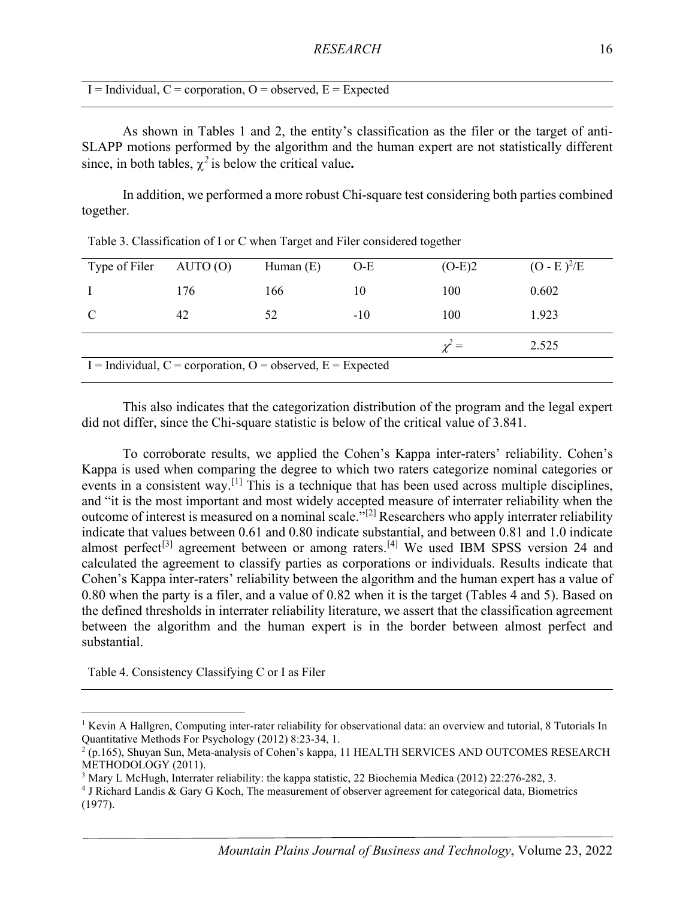$I =$ Individual, C = corporation, O = observed, E = Expected

As shown in Tables 1 and 2, the entity's classification as the filer or the target of anti-SLAPP motions performed by the algorithm and the human expert are not statistically different since, in both tables,  $\gamma^2$  is below the critical value.

In addition, we performed a more robust Chi-square test considering both parties combined together.

| Type of Filer                                                     | AUTO(0) | Human $(E)$ | $O-E$ | $(O-E)2$   | $(O - E)^2/E$ |
|-------------------------------------------------------------------|---------|-------------|-------|------------|---------------|
| $\top$                                                            | 176     | 166         | 10    | 100        | 0.602         |
| $\mathbf C$                                                       | 42      | 52          | $-10$ | 100        | 1.923         |
|                                                                   |         |             |       | $\gamma =$ | 2.525         |
| I = Individual, $C =$ corporation, $O =$ observed, $E =$ Expected |         |             |       |            |               |

Table 3. Classification of I or C when Target and Filer considered together

This also indicates that the categorization distribution of the program and the legal expert did not differ, since the Chi-square statistic is below of the critical value of 3.841.

To corroborate results, we applied the Cohen's Kappa inter-raters' reliability. Cohen's Kappa is used when comparing the degree to which two raters categorize nominal categories or events in a consistent way.<sup>[\[1\]](#page-16-0)</sup> This is a technique that has been used across multiple disciplines, and "it is the most important and most widely accepted measure of interrater reliability when the outcome of interest is measured on a nominal scale."[\[2\]](#page-16-1) Researchers who apply interrater reliability indicate that values between 0.61 and 0.80 indicate substantial, and between 0.81 and 1.0 indicate almost perfect<sup>[\[3\]](#page-16-2)</sup> agreement between or among raters.<sup>[\[4\]](#page-16-3)</sup> We used IBM SPSS version 24 and calculated the agreement to classify parties as corporations or individuals. Results indicate that Cohen's Kappa inter-raters' reliability between the algorithm and the human expert has a value of 0.80 when the party is a filer, and a value of 0.82 when it is the target (Tables 4 and 5). Based on the defined thresholds in interrater reliability literature, we assert that the classification agreement between the algorithm and the human expert is in the border between almost perfect and substantial.

Table 4. Consistency Classifying C or I as Filer

<span id="page-16-0"></span><sup>&</sup>lt;sup>1</sup> Kevin A Hallgren, Computing inter-rater reliability for observational data: an overview and tutorial,  $8$  Tutorials In Quantitative Methods For Psychology (2012) 8:23-34, 1.

<span id="page-16-1"></span> $2(p.165)$ , Shuyan Sun, Meta-analysis of Cohen's kappa, 11 HEALTH SERVICES AND OUTCOMES RESEARCH METHODOLOGY (2011).

<span id="page-16-2"></span><sup>&</sup>lt;sup>3</sup> Mary L McHugh, Interrater reliability: the kappa statistic, 22 Biochemia Medica (2012) 22:276-282, 3.

<span id="page-16-3"></span><sup>4</sup> J Richard Landis & Gary G Koch, The measurement of observer agreement for categorical data, Biometrics (1977).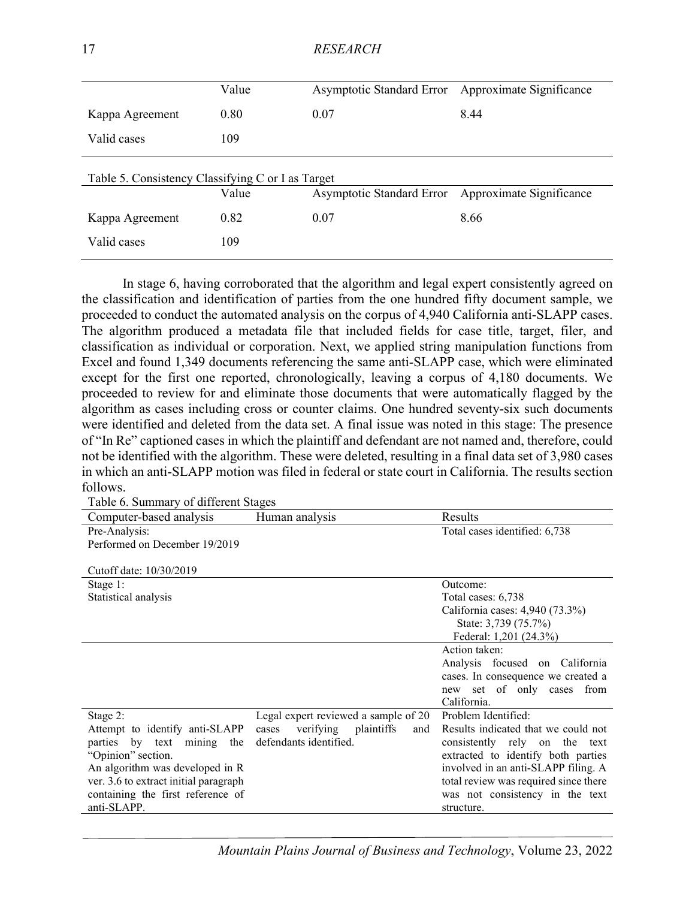| <b>RESEARCH</b><br>17 |
|-----------------------|
|                       |

| Value                                             | <b>Asymptotic Standard Error</b> | Approximate Significance |  |  |  |
|---------------------------------------------------|----------------------------------|--------------------------|--|--|--|
| 0.80                                              | 0.07                             | 8.44                     |  |  |  |
| 109                                               |                                  |                          |  |  |  |
| Table 5. Consistency Classifying C or I as Target |                                  |                          |  |  |  |
| Value                                             | Asymptotic Standard Error        | Approximate Significance |  |  |  |
| 0.82                                              | 0.07                             | 8.66                     |  |  |  |
| 109                                               |                                  |                          |  |  |  |
|                                                   |                                  |                          |  |  |  |

In stage 6, having corroborated that the algorithm and legal expert consistently agreed on the classification and identification of parties from the one hundred fifty document sample, we proceeded to conduct the automated analysis on the corpus of 4,940 California anti-SLAPP cases. The algorithm produced a metadata file that included fields for case title, target, filer, and classification as individual or corporation. Next, we applied string manipulation functions from Excel and found 1,349 documents referencing the same anti-SLAPP case, which were eliminated except for the first one reported, chronologically, leaving a corpus of 4,180 documents. We proceeded to review for and eliminate those documents that were automatically flagged by the algorithm as cases including cross or counter claims. One hundred seventy-six such documents were identified and deleted from the data set. A final issue was noted in this stage: The presence of "In Re" captioned cases in which the plaintiff and defendant are not named and, therefore, could not be identified with the algorithm. These were deleted, resulting in a final data set of 3,980 cases in which an anti-SLAPP motion was filed in federal or state court in California. The results section follows.

| Computer-based analysis               | Human analysis                          | Results                               |
|---------------------------------------|-----------------------------------------|---------------------------------------|
| Pre-Analysis:                         |                                         | Total cases identified: 6,738         |
| Performed on December 19/2019         |                                         |                                       |
|                                       |                                         |                                       |
| Cutoff date: 10/30/2019               |                                         |                                       |
| Stage 1:                              |                                         | Outcome:                              |
| Statistical analysis                  |                                         | Total cases: 6,738                    |
|                                       |                                         | California cases: 4,940 (73.3%)       |
|                                       |                                         | State: 3,739 (75.7%)                  |
|                                       |                                         | Federal: 1,201 (24.3%)                |
|                                       |                                         | Action taken:                         |
|                                       |                                         | Analysis focused on California        |
|                                       |                                         | cases. In consequence we created a    |
|                                       |                                         | new set of only cases from            |
|                                       |                                         | California.                           |
| Stage 2:                              | Legal expert reviewed a sample of 20    | Problem Identified:                   |
| Attempt to identify anti-SLAPP        | verifying<br>plaintiffs<br>cases<br>and | Results indicated that we could not   |
| parties by text mining<br>the         | defendants identified.                  | consistently rely on the text         |
| "Opinion" section.                    |                                         | extracted to identify both parties    |
| An algorithm was developed in R       |                                         | involved in an anti-SLAPP filing. A   |
| ver. 3.6 to extract initial paragraph |                                         | total review was required since there |
| containing the first reference of     |                                         | was not consistency in the text       |
| anti-SLAPP.                           |                                         | structure.                            |

Table 6. Summary of different Stages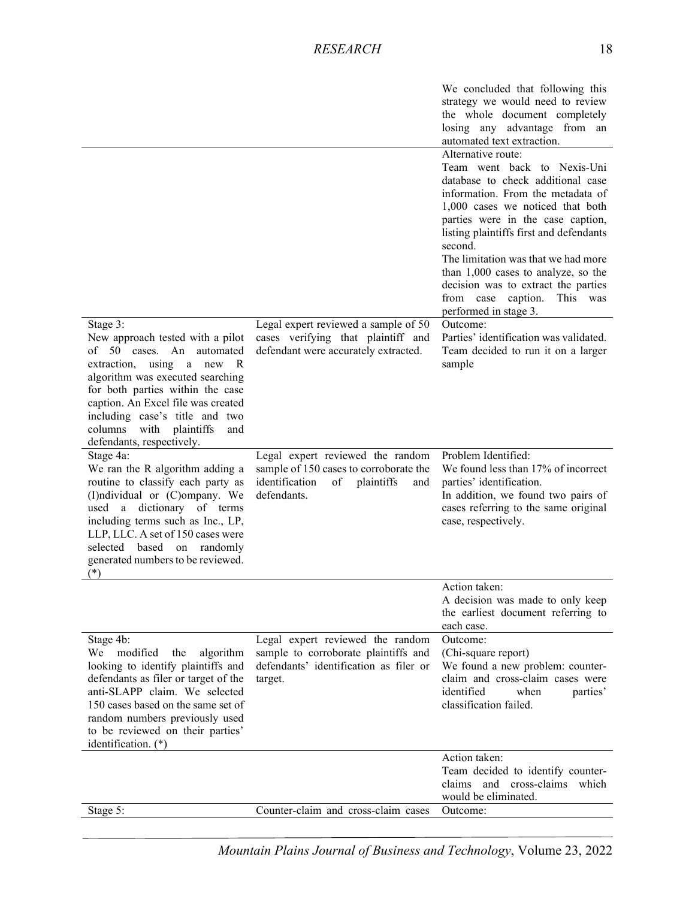|                                                                                                                                                                                                                                                                                                              |                                                                                                                                        | We concluded that following this<br>strategy we would need to review<br>the whole document completely<br>losing any advantage from an<br>automated text extraction.<br>Alternative route:                                                                                                                                                                                                                                              |
|--------------------------------------------------------------------------------------------------------------------------------------------------------------------------------------------------------------------------------------------------------------------------------------------------------------|----------------------------------------------------------------------------------------------------------------------------------------|----------------------------------------------------------------------------------------------------------------------------------------------------------------------------------------------------------------------------------------------------------------------------------------------------------------------------------------------------------------------------------------------------------------------------------------|
| Stage 3:                                                                                                                                                                                                                                                                                                     | Legal expert reviewed a sample of 50                                                                                                   | Team went back to Nexis-Uni<br>database to check additional case<br>information. From the metadata of<br>1,000 cases we noticed that both<br>parties were in the case caption,<br>listing plaintiffs first and defendants<br>second.<br>The limitation was that we had more<br>than 1,000 cases to analyze, so the<br>decision was to extract the parties<br>caption.<br>from case<br>This<br>was<br>performed in stage 3.<br>Outcome: |
| New approach tested with a pilot<br>of 50 cases. An automated<br>extraction, using a new R<br>algorithm was executed searching<br>for both parties within the case<br>caption. An Excel file was created<br>including case's title and two<br>columns<br>with plaintiffs<br>and<br>defendants, respectively. | cases verifying that plaintiff and<br>defendant were accurately extracted.                                                             | Parties' identification was validated.<br>Team decided to run it on a larger<br>sample                                                                                                                                                                                                                                                                                                                                                 |
| Stage 4a:<br>We ran the R algorithm adding a<br>routine to classify each party as<br>(I)ndividual or (C)ompany. We<br>used a dictionary of terms<br>including terms such as Inc., LP,<br>LLP, LLC. A set of 150 cases were<br>selected based on randomly<br>generated numbers to be reviewed.<br>$(*)$       | Legal expert reviewed the random<br>sample of 150 cases to corroborate the<br>identification<br>plaintiffs<br>of<br>and<br>defendants. | Problem Identified:<br>We found less than 17% of incorrect<br>parties' identification.<br>In addition, we found two pairs of<br>cases referring to the same original<br>case, respectively.                                                                                                                                                                                                                                            |
|                                                                                                                                                                                                                                                                                                              |                                                                                                                                        | Action taken:<br>A decision was made to only keep<br>the earliest document referring to<br>each case.                                                                                                                                                                                                                                                                                                                                  |
| Stage 4b:<br>modified<br>algorithm<br>We<br>the<br>looking to identify plaintiffs and<br>defendants as filer or target of the<br>anti-SLAPP claim. We selected<br>150 cases based on the same set of<br>random numbers previously used<br>to be reviewed on their parties'<br>identification. (*)            | Legal expert reviewed the random<br>sample to corroborate plaintiffs and<br>defendants' identification as filer or<br>target.          | Outcome:<br>(Chi-square report)<br>We found a new problem: counter-<br>claim and cross-claim cases were<br>identified<br>when<br>parties'<br>classification failed.                                                                                                                                                                                                                                                                    |
|                                                                                                                                                                                                                                                                                                              |                                                                                                                                        | Action taken:<br>Team decided to identify counter-<br>and cross-claims which<br>claims<br>would be eliminated.                                                                                                                                                                                                                                                                                                                         |
| Stage 5:                                                                                                                                                                                                                                                                                                     | Counter-claim and cross-claim cases                                                                                                    | Outcome:                                                                                                                                                                                                                                                                                                                                                                                                                               |